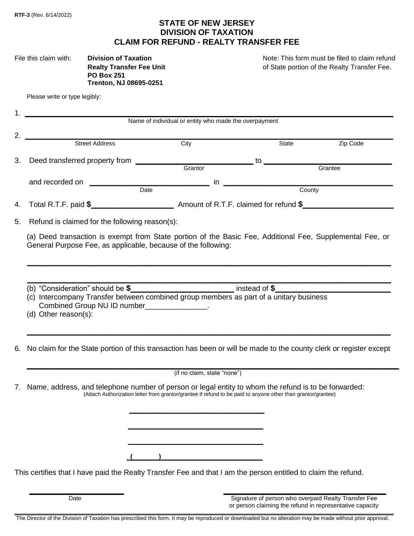## **STATE OF NEW JERSEY DIVISION OF TAXATION CLAIM FOR REFUND - REALTY TRANSFER FEE**

| File this claim with: | <b>Division of Taxation</b>    |  |
|-----------------------|--------------------------------|--|
|                       | <b>Realty Transfer Fee Uni</b> |  |
|                       | <b>PO Box 251</b>              |  |
|                       | <b>Trenton, NJ 08695-0251</b>  |  |

Note: This form must be filed to claim refund **Realty Transfer Fee.** Contains the Realty Transfer Fee.

Please write or type legibly:

|                                                                                                                                                                                                                                                                      | Name of individual or entity who made the overpayment                                                        |                                                                                                                                                                                                                                      |          |
|----------------------------------------------------------------------------------------------------------------------------------------------------------------------------------------------------------------------------------------------------------------------|--------------------------------------------------------------------------------------------------------------|--------------------------------------------------------------------------------------------------------------------------------------------------------------------------------------------------------------------------------------|----------|
| <b>Street Address</b> City                                                                                                                                                                                                                                           |                                                                                                              | State                                                                                                                                                                                                                                | Zip Code |
| Deed transferred property from<br>3.                                                                                                                                                                                                                                 |                                                                                                              | Grantor <b>Contract Contract Contract Contract Contract Contract Contract Contract Contract Contract Contract Contract Contract Contract Contract Contract Contract Contract Contract Contract Contract Contract Contract Contra</b> |          |
|                                                                                                                                                                                                                                                                      |                                                                                                              |                                                                                                                                                                                                                                      |          |
| 4.                                                                                                                                                                                                                                                                   |                                                                                                              |                                                                                                                                                                                                                                      |          |
| Refund is claimed for the following reason(s):<br>5.                                                                                                                                                                                                                 |                                                                                                              |                                                                                                                                                                                                                                      |          |
| (a) Deed transaction is exempt from State portion of the Basic Fee, Additional Fee, Supplemental Fee, or<br>General Purpose Fee, as applicable, because of the following:                                                                                            |                                                                                                              |                                                                                                                                                                                                                                      |          |
| (b) "Consideration" should be $\frac{2}{3}$ enters ombined group members as part of a unitary business (c) Intercompany Transfer between combined group members as part of a unitary business<br>Combined Group NU ID number_______________.<br>(d) Other reason(s): |                                                                                                              |                                                                                                                                                                                                                                      |          |
| No claim for the State portion of this transaction has been or will be made to the county clerk or register except<br>6.                                                                                                                                             |                                                                                                              |                                                                                                                                                                                                                                      |          |
|                                                                                                                                                                                                                                                                      | (if no claim, state "none")                                                                                  |                                                                                                                                                                                                                                      |          |
| Name, address, and telephone number of person or legal entity to whom the refund is to be forwarded:<br>7.                                                                                                                                                           | (Attach Authorization letter from grantor/grantee if refund to be paid to anyone other than grantor/grantee) |                                                                                                                                                                                                                                      |          |
|                                                                                                                                                                                                                                                                      |                                                                                                              |                                                                                                                                                                                                                                      |          |
|                                                                                                                                                                                                                                                                      |                                                                                                              |                                                                                                                                                                                                                                      |          |
| This certifies that I have paid the Realty Transfer Fee and that I am the person entitled to claim the refund.                                                                                                                                                       |                                                                                                              |                                                                                                                                                                                                                                      |          |

Date **Signature of person who overpaid Realty Transfer Fee**  or person claiming the refund in representative capacity \_\_\_\_\_\_\_\_\_\_\_\_\_\_\_\_\_\_\_\_\_\_\_\_\_\_\_\_\_\_\_\_\_\_\_\_\_\_\_\_\_\_\_\_\_\_\_\_\_\_\_\_\_\_\_\_\_\_\_\_\_\_\_\_\_\_\_\_\_\_\_\_\_\_\_\_\_\_\_\_\_\_\_\_\_\_\_\_\_\_\_\_\_\_\_\_\_\_\_\_\_\_\_\_\_\_\_\_\_\_\_\_\_\_\_\_\_\_\_\_\_\_\_\_\_\_

The Director of the Division of Taxation has prescribed this form. It may be reproduced or downloaded but no alteration may be made without prior approval.